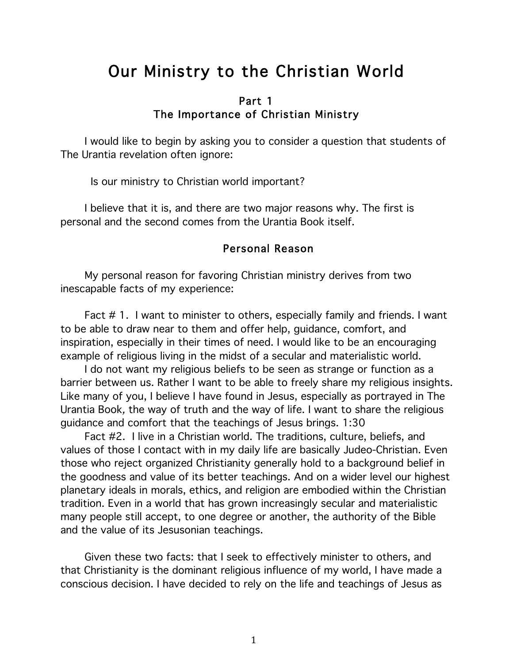# Our Ministry to the Christian World

## Part 1 The Importance of Christian Ministry

I would like to begin by asking you to consider a question that students of The Urantia revelation often ignore:

Is our ministry to Christian world important?

I believe that it is, and there are two major reasons why. The first is personal and the second comes from the Urantia Book itself.

#### Personal Reason

My personal reason for favoring Christian ministry derives from two inescapable facts of my experience:

Fact # 1. I want to minister to others, especially family and friends. I want to be able to draw near to them and offer help, guidance, comfort, and inspiration, especially in their times of need. I would like to be an encouraging example of religious living in the midst of a secular and materialistic world.

I do not want my religious beliefs to be seen as strange or function as a barrier between us. Rather I want to be able to freely share my religious insights. Like many of you, I believe I have found in Jesus, especially as portrayed in The Urantia Book, the way of truth and the way of life. I want to share the religious guidance and comfort that the teachings of Jesus brings. 1:30

Fact #2. I live in a Christian world. The traditions, culture, beliefs, and values of those I contact with in my daily life are basically Judeo-Christian. Even those who reject organized Christianity generally hold to a background belief in the goodness and value of its better teachings. And on a wider level our highest planetary ideals in morals, ethics, and religion are embodied within the Christian tradition. Even in a world that has grown increasingly secular and materialistic many people still accept, to one degree or another, the authority of the Bible and the value of its Jesusonian teachings.

Given these two facts: that I seek to effectively minister to others, and that Christianity is the dominant religious influence of my world, I have made a conscious decision. I have decided to rely on the life and teachings of Jesus as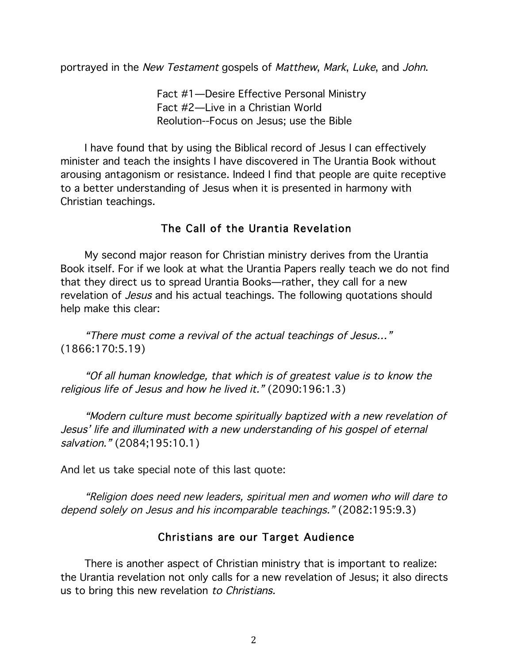portrayed in the New Testament gospels of Matthew, Mark, Luke, and John.

Fact #1—Desire Effective Personal Ministry Fact #2—Live in a Christian World Reolution--Focus on Jesus; use the Bible

I have found that by using the Biblical record of Jesus I can effectively minister and teach the insights I have discovered in The Urantia Book without arousing antagonism or resistance. Indeed I find that people are quite receptive to a better understanding of Jesus when it is presented in harmony with Christian teachings.

# The Call of the Urantia Revelation

My second major reason for Christian ministry derives from the Urantia Book itself. For if we look at what the Urantia Papers really teach we do not find that they direct us to spread Urantia Books—rather, they call for a new revelation of *Jesus* and his actual teachings. The following quotations should help make this clear:

"There must come a revival of the actual teachings of Jesus…" (1866:170:5.19)

"Of all human knowledge, that which is of greatest value is to know the religious life of Jesus and how he lived it." (2090:196:1.3)

"Modern culture must become spiritually baptized with a new revelation of Jesus' life and illuminated with a new understanding of his gospel of eternal salvation." (2084;195:10.1)

And let us take special note of this last quote:

"Religion does need new leaders, spiritual men and women who will dare to depend solely on Jesus and his incomparable teachings." (2082:195:9.3)

## Christians are our Target Audience

There is another aspect of Christian ministry that is important to realize: the Urantia revelation not only calls for a new revelation of Jesus; it also directs us to bring this new revelation to Christians.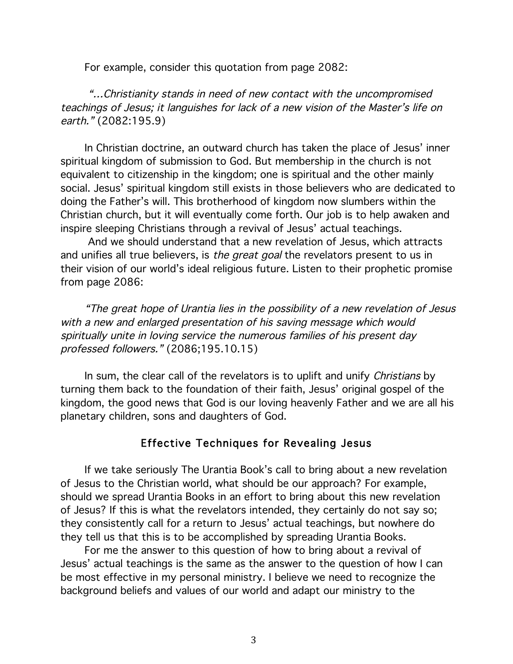For example, consider this quotation from page 2082:

"…Christianity stands in need of new contact with the uncompromised teachings of Jesus; it languishes for lack of a new vision of the Master's life on earth." (2082:195.9)

In Christian doctrine, an outward church has taken the place of Jesus' inner spiritual kingdom of submission to God. But membership in the church is not equivalent to citizenship in the kingdom; one is spiritual and the other mainly social. Jesus' spiritual kingdom still exists in those believers who are dedicated to doing the Father's will. This brotherhood of kingdom now slumbers within the Christian church, but it will eventually come forth. Our job is to help awaken and inspire sleeping Christians through a revival of Jesus' actual teachings.

And we should understand that a new revelation of Jesus, which attracts and unifies all true believers, is the great goal the revelators present to us in their vision of our world's ideal religious future. Listen to their prophetic promise from page 2086:

"The great hope of Urantia lies in the possibility of a new revelation of Jesus with a new and enlarged presentation of his saving message which would spiritually unite in loving service the numerous families of his present day professed followers." (2086;195.10.15)

In sum, the clear call of the revelators is to uplift and unify *Christians* by turning them back to the foundation of their faith, Jesus' original gospel of the kingdom, the good news that God is our loving heavenly Father and we are all his planetary children, sons and daughters of God.

## Effective Techniques for Revealing Jesus

If we take seriously The Urantia Book's call to bring about a new revelation of Jesus to the Christian world, what should be our approach? For example, should we spread Urantia Books in an effort to bring about this new revelation of Jesus? If this is what the revelators intended, they certainly do not say so; they consistently call for a return to Jesus' actual teachings, but nowhere do they tell us that this is to be accomplished by spreading Urantia Books.

For me the answer to this question of how to bring about a revival of Jesus' actual teachings is the same as the answer to the question of how I can be most effective in my personal ministry. I believe we need to recognize the background beliefs and values of our world and adapt our ministry to the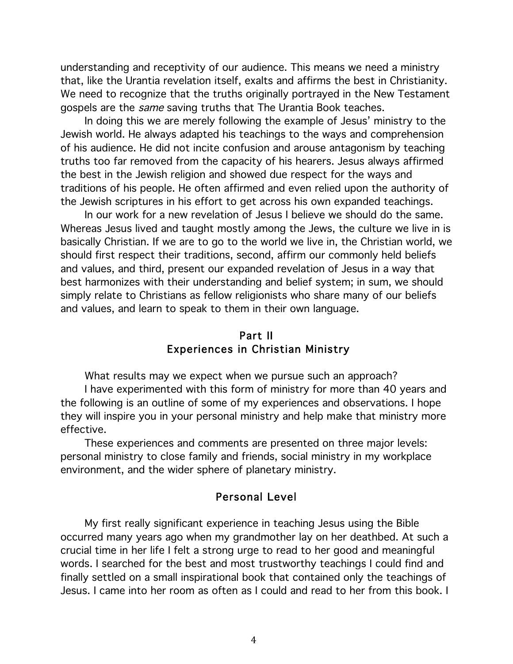understanding and receptivity of our audience. This means we need a ministry that, like the Urantia revelation itself, exalts and affirms the best in Christianity. We need to recognize that the truths originally portrayed in the New Testament gospels are the same saving truths that The Urantia Book teaches.

In doing this we are merely following the example of Jesus' ministry to the Jewish world. He always adapted his teachings to the ways and comprehension of his audience. He did not incite confusion and arouse antagonism by teaching truths too far removed from the capacity of his hearers. Jesus always affirmed the best in the Jewish religion and showed due respect for the ways and traditions of his people. He often affirmed and even relied upon the authority of the Jewish scriptures in his effort to get across his own expanded teachings.

In our work for a new revelation of Jesus I believe we should do the same. Whereas Jesus lived and taught mostly among the Jews, the culture we live in is basically Christian. If we are to go to the world we live in, the Christian world, we should first respect their traditions, second, affirm our commonly held beliefs and values, and third, present our expanded revelation of Jesus in a way that best harmonizes with their understanding and belief system; in sum, we should simply relate to Christians as fellow religionists who share many of our beliefs and values, and learn to speak to them in their own language.

#### Part II Experiences in Christian Ministry

What results may we expect when we pursue such an approach?

I have experimented with this form of ministry for more than 40 years and the following is an outline of some of my experiences and observations. I hope they will inspire you in your personal ministry and help make that ministry more effective.

These experiences and comments are presented on three major levels: personal ministry to close family and friends, social ministry in my workplace environment, and the wider sphere of planetary ministry.

### Personal Level

My first really significant experience in teaching Jesus using the Bible occurred many years ago when my grandmother lay on her deathbed. At such a crucial time in her life I felt a strong urge to read to her good and meaningful words. I searched for the best and most trustworthy teachings I could find and finally settled on a small inspirational book that contained only the teachings of Jesus. I came into her room as often as I could and read to her from this book. I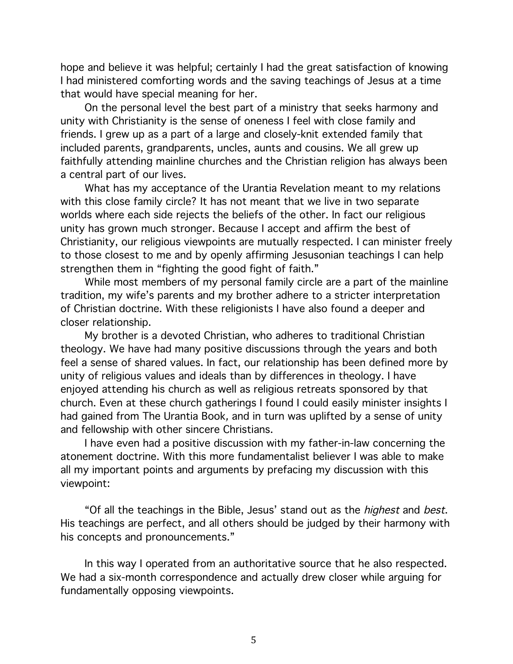hope and believe it was helpful; certainly I had the great satisfaction of knowing I had ministered comforting words and the saving teachings of Jesus at a time that would have special meaning for her.

On the personal level the best part of a ministry that seeks harmony and unity with Christianity is the sense of oneness I feel with close family and friends. I grew up as a part of a large and closely-knit extended family that included parents, grandparents, uncles, aunts and cousins. We all grew up faithfully attending mainline churches and the Christian religion has always been a central part of our lives.

What has my acceptance of the Urantia Revelation meant to my relations with this close family circle? It has not meant that we live in two separate worlds where each side rejects the beliefs of the other. In fact our religious unity has grown much stronger. Because I accept and affirm the best of Christianity, our religious viewpoints are mutually respected. I can minister freely to those closest to me and by openly affirming Jesusonian teachings I can help strengthen them in "fighting the good fight of faith."

While most members of my personal family circle are a part of the mainline tradition, my wife's parents and my brother adhere to a stricter interpretation of Christian doctrine. With these religionists I have also found a deeper and closer relationship.

My brother is a devoted Christian, who adheres to traditional Christian theology. We have had many positive discussions through the years and both feel a sense of shared values. In fact, our relationship has been defined more by unity of religious values and ideals than by differences in theology. I have enjoyed attending his church as well as religious retreats sponsored by that church. Even at these church gatherings I found I could easily minister insights I had gained from The Urantia Book, and in turn was uplifted by a sense of unity and fellowship with other sincere Christians.

I have even had a positive discussion with my father-in-law concerning the atonement doctrine. With this more fundamentalist believer I was able to make all my important points and arguments by prefacing my discussion with this viewpoint:

"Of all the teachings in the Bible, Jesus' stand out as the *highest* and *best*. His teachings are perfect, and all others should be judged by their harmony with his concepts and pronouncements."

In this way I operated from an authoritative source that he also respected. We had a six-month correspondence and actually drew closer while arguing for fundamentally opposing viewpoints.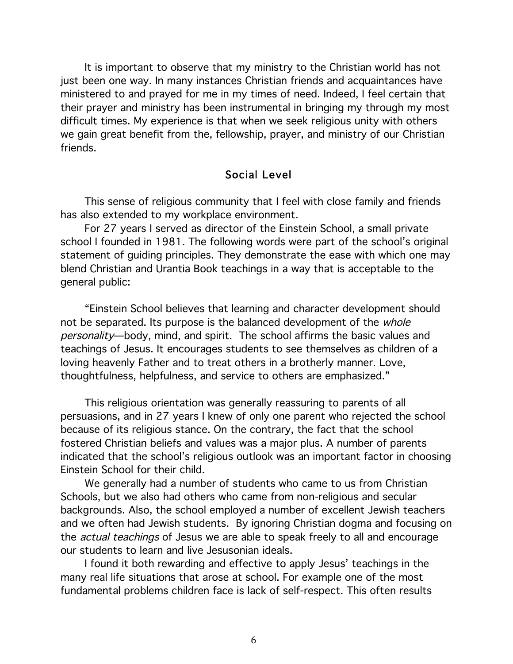It is important to observe that my ministry to the Christian world has not just been one way. In many instances Christian friends and acquaintances have ministered to and prayed for me in my times of need. Indeed, I feel certain that their prayer and ministry has been instrumental in bringing my through my most difficult times. My experience is that when we seek religious unity with others we gain great benefit from the, fellowship, prayer, and ministry of our Christian friends.

#### Social Level

This sense of religious community that I feel with close family and friends has also extended to my workplace environment.

For 27 years I served as director of the Einstein School, a small private school I founded in 1981. The following words were part of the school's original statement of guiding principles. They demonstrate the ease with which one may blend Christian and Urantia Book teachings in a way that is acceptable to the general public:

"Einstein School believes that learning and character development should not be separated. Its purpose is the balanced development of the whole personality—body, mind, and spirit. The school affirms the basic values and teachings of Jesus. It encourages students to see themselves as children of a loving heavenly Father and to treat others in a brotherly manner. Love, thoughtfulness, helpfulness, and service to others are emphasized."

This religious orientation was generally reassuring to parents of all persuasions, and in 27 years I knew of only one parent who rejected the school because of its religious stance. On the contrary, the fact that the school fostered Christian beliefs and values was a major plus. A number of parents indicated that the school's religious outlook was an important factor in choosing Einstein School for their child.

We generally had a number of students who came to us from Christian Schools, but we also had others who came from non-religious and secular backgrounds. Also, the school employed a number of excellent Jewish teachers and we often had Jewish students. By ignoring Christian dogma and focusing on the actual teachings of Jesus we are able to speak freely to all and encourage our students to learn and live Jesusonian ideals.

I found it both rewarding and effective to apply Jesus' teachings in the many real life situations that arose at school. For example one of the most fundamental problems children face is lack of self-respect. This often results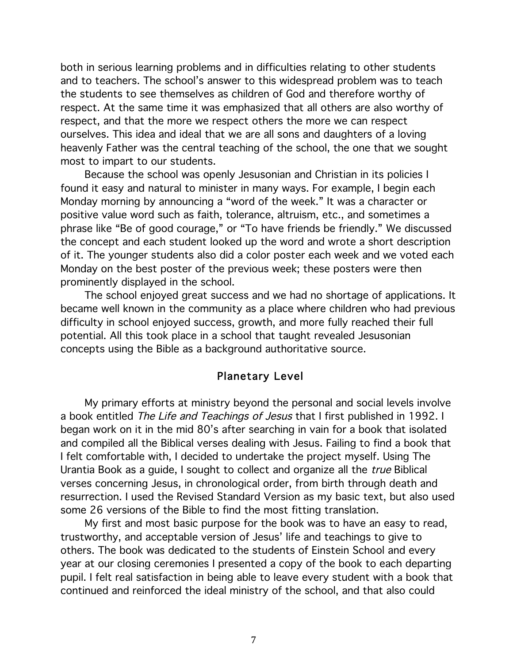both in serious learning problems and in difficulties relating to other students and to teachers. The school's answer to this widespread problem was to teach the students to see themselves as children of God and therefore worthy of respect. At the same time it was emphasized that all others are also worthy of respect, and that the more we respect others the more we can respect ourselves. This idea and ideal that we are all sons and daughters of a loving heavenly Father was the central teaching of the school, the one that we sought most to impart to our students.

Because the school was openly Jesusonian and Christian in its policies I found it easy and natural to minister in many ways. For example, I begin each Monday morning by announcing a "word of the week." It was a character or positive value word such as faith, tolerance, altruism, etc., and sometimes a phrase like "Be of good courage," or "To have friends be friendly." We discussed the concept and each student looked up the word and wrote a short description of it. The younger students also did a color poster each week and we voted each Monday on the best poster of the previous week; these posters were then prominently displayed in the school.

The school enjoyed great success and we had no shortage of applications. It became well known in the community as a place where children who had previous difficulty in school enjoyed success, growth, and more fully reached their full potential. All this took place in a school that taught revealed Jesusonian concepts using the Bible as a background authoritative source.

#### Planetary Level

My primary efforts at ministry beyond the personal and social levels involve a book entitled The Life and Teachings of Jesus that I first published in 1992. I began work on it in the mid 80's after searching in vain for a book that isolated and compiled all the Biblical verses dealing with Jesus. Failing to find a book that I felt comfortable with, I decided to undertake the project myself. Using The Urantia Book as a guide, I sought to collect and organize all the true Biblical verses concerning Jesus, in chronological order, from birth through death and resurrection. I used the Revised Standard Version as my basic text, but also used some 26 versions of the Bible to find the most fitting translation.

My first and most basic purpose for the book was to have an easy to read, trustworthy, and acceptable version of Jesus' life and teachings to give to others. The book was dedicated to the students of Einstein School and every year at our closing ceremonies I presented a copy of the book to each departing pupil. I felt real satisfaction in being able to leave every student with a book that continued and reinforced the ideal ministry of the school, and that also could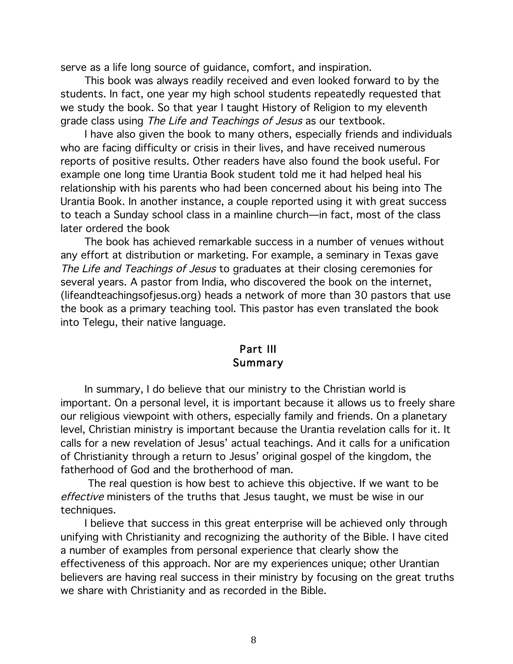serve as a life long source of guidance, comfort, and inspiration.

This book was always readily received and even looked forward to by the students. In fact, one year my high school students repeatedly requested that we study the book. So that year I taught History of Religion to my eleventh grade class using The Life and Teachings of Jesus as our textbook.

I have also given the book to many others, especially friends and individuals who are facing difficulty or crisis in their lives, and have received numerous reports of positive results. Other readers have also found the book useful. For example one long time Urantia Book student told me it had helped heal his relationship with his parents who had been concerned about his being into The Urantia Book. In another instance, a couple reported using it with great success to teach a Sunday school class in a mainline church—in fact, most of the class later ordered the book

The book has achieved remarkable success in a number of venues without any effort at distribution or marketing. For example, a seminary in Texas gave The Life and Teachings of Jesus to graduates at their closing ceremonies for several years. A pastor from India, who discovered the book on the internet, (lifeandteachingsofjesus.org) heads a network of more than 30 pastors that use the book as a primary teaching tool. This pastor has even translated the book into Telegu, their native language.

## Part III Summary

In summary, I do believe that our ministry to the Christian world is important. On a personal level, it is important because it allows us to freely share our religious viewpoint with others, especially family and friends. On a planetary level, Christian ministry is important because the Urantia revelation calls for it. It calls for a new revelation of Jesus' actual teachings. And it calls for a unification of Christianity through a return to Jesus' original gospel of the kingdom, the fatherhood of God and the brotherhood of man.

The real question is how best to achieve this objective. If we want to be effective ministers of the truths that Jesus taught, we must be wise in our techniques.

I believe that success in this great enterprise will be achieved only through unifying with Christianity and recognizing the authority of the Bible. I have cited a number of examples from personal experience that clearly show the effectiveness of this approach. Nor are my experiences unique; other Urantian believers are having real success in their ministry by focusing on the great truths we share with Christianity and as recorded in the Bible.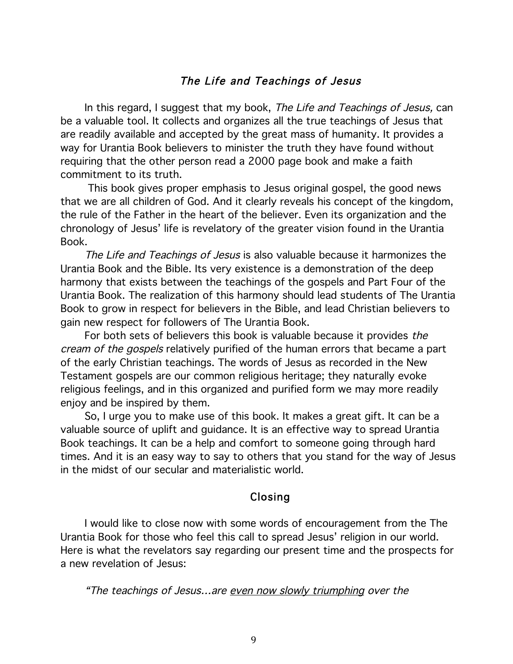### The Life and Teachings of Jesus

In this regard, I suggest that my book, The Life and Teachings of Jesus, can be a valuable tool. It collects and organizes all the true teachings of Jesus that are readily available and accepted by the great mass of humanity. It provides a way for Urantia Book believers to minister the truth they have found without requiring that the other person read a 2000 page book and make a faith commitment to its truth.

This book gives proper emphasis to Jesus original gospel, the good news that we are all children of God. And it clearly reveals his concept of the kingdom, the rule of the Father in the heart of the believer. Even its organization and the chronology of Jesus' life is revelatory of the greater vision found in the Urantia Book.

The Life and Teachings of Jesus is also valuable because it harmonizes the Urantia Book and the Bible. Its very existence is a demonstration of the deep harmony that exists between the teachings of the gospels and Part Four of the Urantia Book. The realization of this harmony should lead students of The Urantia Book to grow in respect for believers in the Bible, and lead Christian believers to gain new respect for followers of The Urantia Book.

For both sets of believers this book is valuable because it provides the cream of the gospels relatively purified of the human errors that became a part of the early Christian teachings. The words of Jesus as recorded in the New Testament gospels are our common religious heritage; they naturally evoke religious feelings, and in this organized and purified form we may more readily enjoy and be inspired by them.

So, I urge you to make use of this book. It makes a great gift. It can be a valuable source of uplift and guidance. It is an effective way to spread Urantia Book teachings. It can be a help and comfort to someone going through hard times. And it is an easy way to say to others that you stand for the way of Jesus in the midst of our secular and materialistic world.

## Closing

I would like to close now with some words of encouragement from the The Urantia Book for those who feel this call to spread Jesus' religion in our world. Here is what the revelators say regarding our present time and the prospects for a new revelation of Jesus:

"The teachings of Jesus…are even now slowly triumphing over the